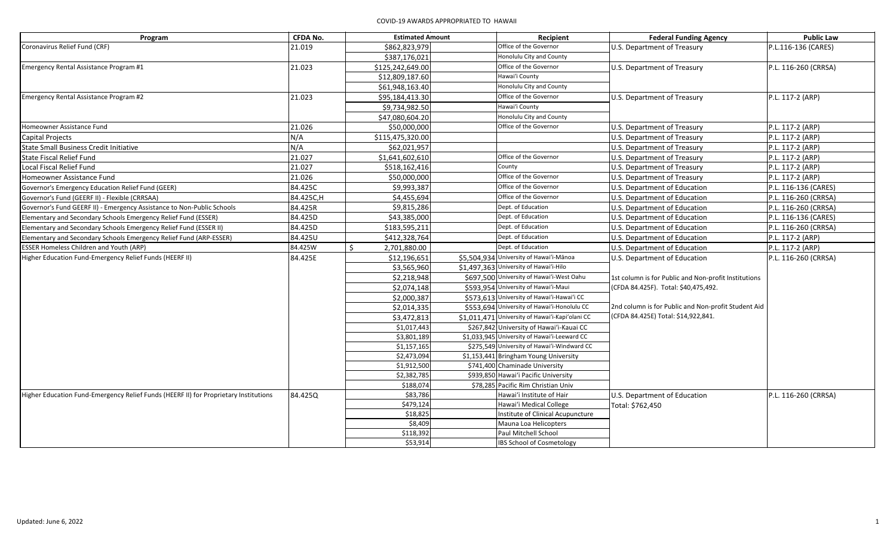| Program                                                                              | <b>CFDA No.</b> |    | <b>Estimated Amount</b> | Recipient                                       | <b>Federal Funding Agency</b>                        | <b>Public Law</b>    |
|--------------------------------------------------------------------------------------|-----------------|----|-------------------------|-------------------------------------------------|------------------------------------------------------|----------------------|
| Coronavirus Relief Fund (CRF)                                                        | 21.019          |    | \$862,823,979           | Office of the Governor                          | U.S. Department of Treasury                          | P.L.116-136 (CARES)  |
|                                                                                      |                 |    | \$387,176,021           | Honolulu City and County                        |                                                      |                      |
| Emergency Rental Assistance Program #1                                               | 21.023          |    | \$125,242,649.00        | Office of the Governor                          | U.S. Department of Treasury                          | P.L. 116-260 (CRRSA) |
|                                                                                      |                 |    | \$12,809,187.60         | Hawai'i County                                  |                                                      |                      |
|                                                                                      |                 |    | \$61,948,163.40         | Honolulu City and County                        |                                                      |                      |
| Emergency Rental Assistance Program #2                                               | 21.023          |    | \$95,184,413.30         | Office of the Governor                          | U.S. Department of Treasury                          | P.L. 117-2 (ARP)     |
|                                                                                      |                 |    | \$9,734,982.50          | Hawai'i County                                  |                                                      |                      |
|                                                                                      |                 |    | \$47,080,604.20         | Honolulu City and County                        |                                                      |                      |
| Homeowner Assistance Fund                                                            | 21.026          |    | \$50,000,000            | Office of the Governor                          | U.S. Department of Treasury                          | P.L. 117-2 (ARP)     |
| Capital Projects                                                                     | N/A             |    | \$115,475,320.00        |                                                 | U.S. Department of Treasury                          | P.L. 117-2 (ARP)     |
| State Small Business Credit Initiative                                               | N/A             |    | \$62,021,957            |                                                 | U.S. Department of Treasury                          | P.L. 117-2 (ARP)     |
| State Fiscal Relief Fund                                                             | 21.027          |    | \$1,641,602,610         | Office of the Governor                          | U.S. Department of Treasury                          | P.L. 117-2 (ARP)     |
| Local Fiscal Relief Fund                                                             | 21.027          |    | \$518,162,416           | County                                          | U.S. Department of Treasury                          | P.L. 117-2 (ARP)     |
| Homeowner Assistance Fund                                                            | 21.026          |    | \$50,000,000            | Office of the Governor                          | U.S. Department of Treasury                          | P.L. 117-2 (ARP)     |
| Governor's Emergency Education Relief Fund (GEER)                                    | 84.425C         |    | \$9,993,387             | Office of the Governor                          | U.S. Department of Education                         | P.L. 116-136 (CARES) |
| Governor's Fund (GEERF II) - Flexible (CRRSAA)                                       | 84.425C,H       |    | \$4,455,694             | Office of the Governor                          | U.S. Department of Education                         | P.L. 116-260 (CRRSA) |
| Governor's Fund GEERF II) - Emergency Assistance to Non-Public Schools               | 84.425R         |    | \$9,815,286             | Dept. of Education                              | U.S. Department of Education                         | P.L. 116-260 (CRRSA) |
| Elementary and Secondary Schools Emergency Relief Fund (ESSER)                       | 84.425D         |    | \$43,385,000            | Dept. of Education                              | U.S. Department of Education                         | P.L. 116-136 (CARES) |
| Elementary and Secondary Schools Emergency Relief Fund (ESSER II)                    | 84.425D         |    | \$183,595,211           | Dept. of Education                              | U.S. Department of Education                         | P.L. 116-260 (CRRSA) |
| Elementary and Secondary Schools Emergency Relief Fund (ARP-ESSER)                   | 84.425U         |    | \$412,328,764           | Dept. of Education                              | U.S. Department of Education                         | P.L. 117-2 (ARP)     |
| <b>ESSER Homeless Children and Youth (ARP)</b>                                       | 84.425W         | ς. | 2,701,880.00            | Dept. of Education                              | U.S. Department of Education                         | P.L. 117-2 (ARP)     |
| Higher Education Fund-Emergency Relief Funds (HEERF II)                              | 84.425E         |    | \$12,196,651            | \$5,504,934 University of Hawai'i-Mānoa         | U.S. Department of Education                         | P.L. 116-260 (CRRSA) |
|                                                                                      |                 |    | \$3,565,960             | \$1,497,363 University of Hawai'i-Hilo          |                                                      |                      |
|                                                                                      |                 |    | \$2,218,948             | \$697,500 University of Hawai'i-West Oahu       | 1st column is for Public and Non-profit Institutions |                      |
|                                                                                      |                 |    | \$2,074,148             | \$593,954 University of Hawai'i-Maui            | (CFDA 84.425F). Total: \$40,475,492.                 |                      |
|                                                                                      |                 |    | \$2,000,387             | \$573,613 University of Hawai'i-Hawai'i CC      |                                                      |                      |
|                                                                                      |                 |    | \$2,014,335             | \$553,694 University of Hawai'i-Honolulu CC     | 2nd column is for Public and Non-profit Student Aid  |                      |
|                                                                                      |                 |    | \$3,472,813             | \$1,011,471 University of Hawai'i-Kapi'olani CC | (CFDA 84.425E) Total: \$14,922,841.                  |                      |
|                                                                                      |                 |    | \$1,017,443             | \$267,842 University of Hawai'i-Kauai CC        |                                                      |                      |
|                                                                                      |                 |    | \$3,801,189             | \$1,033,945 University of Hawai'i-Leeward CC    |                                                      |                      |
|                                                                                      |                 |    | \$1,157,165             | \$275,549 University of Hawai'i-Windward CC     |                                                      |                      |
|                                                                                      |                 |    | \$2,473,094             | \$1,153,441 Bringham Young University           |                                                      |                      |
|                                                                                      |                 |    | \$1,912,500             | \$741,400 Chaminade University                  |                                                      |                      |
|                                                                                      |                 |    | \$2,382,785             | \$939,850 Hawai'i Pacific University            |                                                      |                      |
|                                                                                      |                 |    | \$188,074               | \$78,285 Pacific Rim Christian Univ             |                                                      |                      |
| Higher Education Fund-Emergency Relief Funds (HEERF II) for Proprietary Institutions | 84.425Q         |    | \$83,786                | Hawai'i Institute of Hair                       | U.S. Department of Education                         | P.L. 116-260 (CRRSA) |
|                                                                                      |                 |    | \$479,124               | Hawai'i Medical College                         | Total: \$762,450                                     |                      |
|                                                                                      |                 |    | \$18,825                | Institute of Clinical Acupuncture               |                                                      |                      |
|                                                                                      |                 |    | \$8,409                 | Mauna Loa Helicopters                           |                                                      |                      |
|                                                                                      |                 |    | \$118,392               | Paul Mitchell School                            |                                                      |                      |
|                                                                                      |                 |    | \$53,914                | IBS School of Cosmetology                       |                                                      |                      |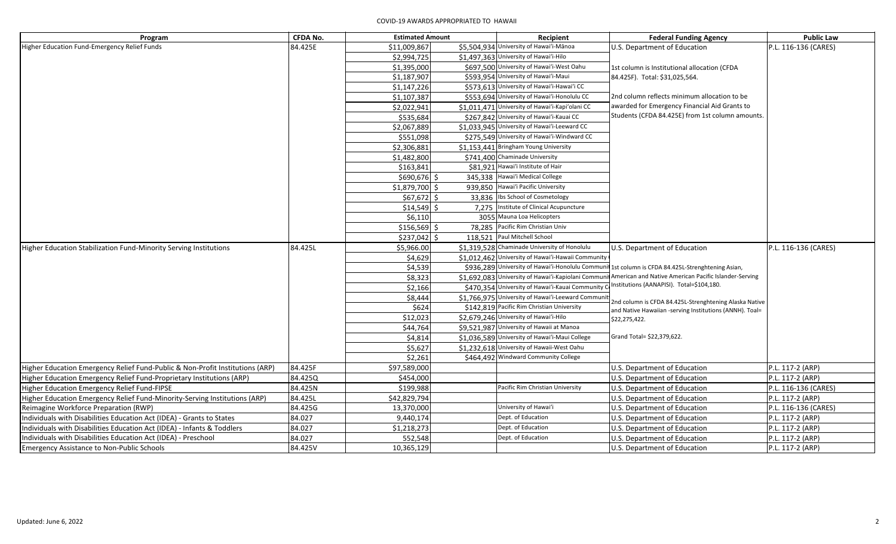| Program                                                                       | <b>CFDA No.</b> | <b>Estimated Amount</b> |       | Recipient                                          | <b>Federal Funding Agency</b>                                                                                     | <b>Public Law</b>    |
|-------------------------------------------------------------------------------|-----------------|-------------------------|-------|----------------------------------------------------|-------------------------------------------------------------------------------------------------------------------|----------------------|
| Higher Education Fund-Emergency Relief Funds                                  | 84.425E         | \$11,009,867            |       | \$5,504,934 University of Hawai'i-Mānoa            | U.S. Department of Education                                                                                      | P.L. 116-136 (CARES) |
|                                                                               |                 | \$2,994,725             |       | \$1,497,363 University of Hawai'i-Hilo             |                                                                                                                   |                      |
|                                                                               |                 | \$1,395,000             |       | \$697,500 University of Hawai'i-West Oahu          | 1st column is Institutional allocation (CFDA                                                                      |                      |
|                                                                               |                 | \$1,187,907             |       | \$593,954 University of Hawai'i-Maui               | 84.425F). Total: \$31,025,564.                                                                                    |                      |
|                                                                               |                 | \$1,147,226             |       | \$573,613 University of Hawai'i-Hawai'i CC         |                                                                                                                   |                      |
|                                                                               |                 | \$1,107,387             |       | \$553,694 University of Hawai'i-Honolulu CC        | 2nd column reflects minimum allocation to be                                                                      |                      |
|                                                                               |                 | \$2,022,941             |       | \$1,011,471 University of Hawai'i-Kapi'olani CC    | awarded for Emergency Financial Aid Grants to                                                                     |                      |
|                                                                               |                 | \$535,684               |       | \$267,842 University of Hawai'i-Kauai CC           | Students (CFDA 84.425E) from 1st column amounts.                                                                  |                      |
|                                                                               |                 | \$2,067,889             |       | \$1,033,945 University of Hawai'i-Leeward CC       |                                                                                                                   |                      |
|                                                                               |                 | \$551,098               |       | \$275,549 University of Hawai'i-Windward CC        |                                                                                                                   |                      |
|                                                                               |                 | \$2,306,881             |       | \$1,153,441 Bringham Young University              |                                                                                                                   |                      |
|                                                                               |                 | \$1,482,800             |       | \$741,400 Chaminade University                     |                                                                                                                   |                      |
|                                                                               |                 | \$163,841               |       | \$81,921 Hawai'i Institute of Hair                 |                                                                                                                   |                      |
|                                                                               |                 | \$690,676               |       | 345,338 Hawai'i Medical College                    |                                                                                                                   |                      |
|                                                                               |                 | \$1,879,700 \$          |       | 939,850 Hawai'i Pacific University                 |                                                                                                                   |                      |
|                                                                               |                 | $$67,672$ \$            |       | 33,836 Ibs School of Cosmetology                   |                                                                                                                   |                      |
|                                                                               |                 | $$14,549$ \$            | 7,275 | Institute of Clinical Acupuncture                  |                                                                                                                   |                      |
|                                                                               |                 | \$6,110                 |       | 3055 Mauna Loa Helicopters                         |                                                                                                                   |                      |
|                                                                               |                 | $$156,569$ \$           |       | 78,285 Pacific Rim Christian Univ                  |                                                                                                                   |                      |
|                                                                               |                 | $$237,042$ \$           |       | 118,521 Paul Mitchell School                       |                                                                                                                   |                      |
| Higher Education Stabilization Fund-Minority Serving Institutions             | 84.425L         | \$5,966.00              |       | \$1,319,528 Chaminade University of Honolulu       | U.S. Department of Education                                                                                      | P.L. 116-136 (CARES) |
|                                                                               |                 | \$4,629                 |       | \$1,012,462 University of Hawai'i-Hawaii Community |                                                                                                                   |                      |
|                                                                               |                 | \$4,539                 |       | \$936,289 University of Hawai'i-Honolulu Commun    | 1st column is CFDA 84.425L-Strenghtening Asian,                                                                   |                      |
|                                                                               |                 | \$8,323                 |       | \$1,692,083 University of Hawai'i-Kapiolani Commun | American and Native American Pacific Islander-Serving                                                             |                      |
|                                                                               |                 | \$2,166                 |       | \$470,354 University of Hawai'i-Kauai Community    | Institutions (AANAPISI). Total=\$104,180.                                                                         |                      |
|                                                                               |                 | \$8,444                 |       | \$1,766,975 University of Hawai'i-Leeward Communi  |                                                                                                                   |                      |
|                                                                               |                 | \$624                   |       | \$142,819 Pacific Rim Christian University         | 2nd column is CFDA 84.425L-Strenghtening Alaska Native<br>and Native Hawaiian -serving Institutions (ANNH). Toal= |                      |
|                                                                               |                 | \$12,023                |       | \$2,679,246 University of Hawai'i-Hilo             | \$22,275,422.                                                                                                     |                      |
|                                                                               |                 | \$44,764                |       | \$9,521,987 University of Hawaii at Manoa          |                                                                                                                   |                      |
|                                                                               |                 | \$4,814                 |       | \$1,036,589 University of Hawai'i-Maui College     | Grand Total= \$22,379,622.                                                                                        |                      |
|                                                                               |                 | \$5,627                 |       | \$1,232,618 University of Hawaii-West Oahu         |                                                                                                                   |                      |
|                                                                               |                 | \$2,261                 |       | \$464,492 Windward Community College               |                                                                                                                   |                      |
| Higher Education Emergency Relief Fund-Public & Non-Profit Institutions (ARP) | 84.425F         | \$97,589,000            |       |                                                    | U.S. Department of Education                                                                                      | P.L. 117-2 (ARP)     |
| Higher Education Emergency Relief Fund-Proprietary Institutions (ARP)         | 84.425Q         | \$454,000               |       |                                                    | U.S. Department of Education                                                                                      | P.L. 117-2 (ARP)     |
| Higher Education Emergency Relief Fund-FIPSE                                  | 84.425N         | \$199,988               |       | Pacific Rim Christian University                   | U.S. Department of Education                                                                                      | P.L. 116-136 (CARES) |
| Higher Education Emergency Relief Fund-Minority-Serving Institutions (ARP)    | 84.425L         | \$42,829,794            |       |                                                    | U.S. Department of Education                                                                                      | P.L. 117-2 (ARP)     |
| Reimagine Workforce Preparation (RWP)                                         | 84.425G         | 13,370,000              |       | University of Hawai'i                              | U.S. Department of Education                                                                                      | P.L. 116-136 (CARES) |
| Individuals with Disabilities Education Act (IDEA) - Grants to States         | 84.027          | 9,440,174               |       | Dept. of Education                                 | U.S. Department of Education                                                                                      | P.L. 117-2 (ARP)     |
| Individuals with Disabilities Education Act (IDEA) - Infants & Toddlers       | 84.027          | \$1,218,273             |       | Dept. of Education                                 | U.S. Department of Education                                                                                      | P.L. 117-2 (ARP)     |
| Individuals with Disabilities Education Act (IDEA) - Preschool                | 84.027          | 552,548                 |       | Dept. of Education                                 | U.S. Department of Education                                                                                      | P.L. 117-2 (ARP)     |
| <b>Emergency Assistance to Non-Public Schools</b>                             | 84.425V         | 10,365,129              |       |                                                    | U.S. Department of Education                                                                                      | P.L. 117-2 (ARP)     |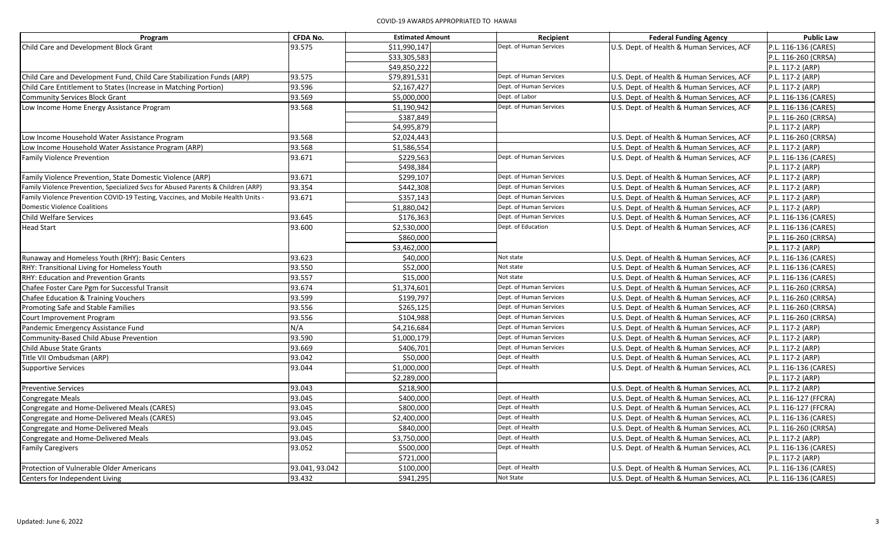| Program                                                                          | <b>CFDA No.</b> | <b>Estimated Amount</b> | Recipient               | <b>Federal Funding Agency</b>              | <b>Public Law</b>    |
|----------------------------------------------------------------------------------|-----------------|-------------------------|-------------------------|--------------------------------------------|----------------------|
| Child Care and Development Block Grant                                           | 93.575          | \$11,990,147            | Dept. of Human Services | U.S. Dept. of Health & Human Services, ACF | P.L. 116-136 (CARES) |
|                                                                                  |                 | \$33,305,583            |                         |                                            | P.L. 116-260 (CRRSA) |
|                                                                                  |                 | \$49,850,222            |                         |                                            | P.L. 117-2 (ARP)     |
| Child Care and Development Fund, Child Care Stabilization Funds (ARP)            | 93.575          | \$79,891,531            | Dept. of Human Services | U.S. Dept. of Health & Human Services, ACF | P.L. 117-2 (ARP)     |
| Child Care Entitlement to States (Increase in Matching Portion)                  | 93.596          | \$2,167,427             | Dept. of Human Services | U.S. Dept. of Health & Human Services, ACF | P.L. 117-2 (ARP)     |
| <b>Community Services Block Grant</b>                                            | 93.569          | \$5,000,000             | Dept. of Labor          | U.S. Dept. of Health & Human Services, ACF | P.L. 116-136 (CARES) |
| Low Income Home Energy Assistance Program                                        | 93.568          | \$1,190,942             | Dept. of Human Services | U.S. Dept. of Health & Human Services, ACF | P.L. 116-136 (CARES) |
|                                                                                  |                 | \$387,849               |                         |                                            | P.L. 116-260 (CRRSA) |
|                                                                                  |                 | \$4,995,879             |                         |                                            | P.L. 117-2 (ARP)     |
| Low Income Household Water Assistance Program                                    | 93.568          | \$2,024,443             |                         | U.S. Dept. of Health & Human Services, ACF | P.L. 116-260 (CRRSA) |
| Low Income Household Water Assistance Program (ARP)                              | 93.568          | \$1,586,554             |                         | U.S. Dept. of Health & Human Services, ACF | P.L. 117-2 (ARP)     |
| <b>Family Violence Prevention</b>                                                | 93.671          | \$229,563               | Dept. of Human Services | U.S. Dept. of Health & Human Services, ACF | P.L. 116-136 (CARES) |
|                                                                                  |                 | \$498,384               |                         |                                            | P.L. 117-2 (ARP)     |
| Family Violence Prevention, State Domestic Violence (ARP)                        | 93.671          | \$299,107               | Dept. of Human Services | U.S. Dept. of Health & Human Services, ACF | P.L. 117-2 (ARP)     |
| Family Violence Prevention, Specialized Svcs for Abused Parents & Children (ARP) | 93.354          | \$442.308               | Dept. of Human Services | U.S. Dept. of Health & Human Services, ACF | P.L. 117-2 (ARP)     |
| Family Violence Prevention COVID-19 Testing, Vaccines, and Mobile Health Units - | 93.671          | \$357,143               | Dept. of Human Services | U.S. Dept. of Health & Human Services, ACF | P.L. 117-2 (ARP)     |
| <b>Domestic Violence Coalitions</b>                                              |                 | \$1,880,042             | Dept. of Human Services | U.S. Dept. of Health & Human Services, ACF | P.L. 117-2 (ARP)     |
| Child Welfare Services                                                           | 93.645          | \$176,363               | Dept. of Human Services | U.S. Dept. of Health & Human Services, ACF | P.L. 116-136 (CARES) |
| <b>Head Start</b>                                                                | 93.600          | \$2,530,000             | Dept. of Education      | U.S. Dept. of Health & Human Services, ACF | P.L. 116-136 (CARES) |
|                                                                                  |                 | \$860,000               |                         |                                            | P.L. 116-260 (CRRSA) |
|                                                                                  |                 | \$3,462,000             |                         |                                            | P.L. 117-2 (ARP)     |
| Runaway and Homeless Youth (RHY): Basic Centers                                  | 93.623          | \$40,000                | Not state               | U.S. Dept. of Health & Human Services, ACF | P.L. 116-136 (CARES) |
| RHY: Transitional Living for Homeless Youth                                      | 93.550          | \$52,000                | Not state               | U.S. Dept. of Health & Human Services, ACF | P.L. 116-136 (CARES) |
| RHY: Education and Prevention Grants                                             | 93.557          | \$15,000                | Not state               | U.S. Dept. of Health & Human Services, ACF | P.L. 116-136 (CARES) |
| Chafee Foster Care Pgm for Successful Transit                                    | 93.674          | \$1,374,601             | Dept. of Human Services | U.S. Dept. of Health & Human Services, ACF | P.L. 116-260 (CRRSA) |
| Chafee Education & Training Vouchers                                             | 93.599          | \$199,797               | Dept. of Human Services | U.S. Dept. of Health & Human Services, ACF | P.L. 116-260 (CRRSA) |
| Promoting Safe and Stable Families                                               | 93.556          | \$265,125               | Dept. of Human Services | U.S. Dept. of Health & Human Services, ACF | P.L. 116-260 (CRRSA) |
| Court Improvement Program                                                        | 93.556          | \$104,988               | Dept. of Human Services | U.S. Dept. of Health & Human Services, ACF | P.L. 116-260 (CRRSA) |
| Pandemic Emergency Assistance Fund                                               | N/A             | \$4,216,684             | Dept. of Human Services | U.S. Dept. of Health & Human Services, ACF | P.L. 117-2 (ARP)     |
| Community-Based Child Abuse Prevention                                           | 93.590          | \$1,000,179             | Dept. of Human Services | U.S. Dept. of Health & Human Services, ACF | P.L. 117-2 (ARP)     |
| <b>Child Abuse State Grants</b>                                                  | 93.669          | \$406,701               | Dept. of Human Services | U.S. Dept. of Health & Human Services, ACF | P.L. 117-2 (ARP)     |
| Title VII Ombudsman (ARP)                                                        | 93.042          | \$50,000                | Dept. of Health         | U.S. Dept. of Health & Human Services, ACL | P.L. 117-2 (ARP)     |
| <b>Supportive Services</b>                                                       | 93.044          | \$1,000,000             | Dept. of Health         | U.S. Dept. of Health & Human Services, ACL | P.L. 116-136 (CARES) |
|                                                                                  |                 | \$2,289,000             |                         |                                            | P.L. 117-2 (ARP)     |
| <b>Preventive Services</b>                                                       | 93.043          | \$218,900               |                         | U.S. Dept. of Health & Human Services, ACL | P.L. 117-2 (ARP)     |
| Congregate Meals                                                                 | 93.045          | \$400,000               | Dept. of Health         | U.S. Dept. of Health & Human Services, ACL | P.L. 116-127 (FFCRA) |
| Congregate and Home-Delivered Meals (CARES)                                      | 93.045          | \$800,000               | Dept. of Health         | U.S. Dept. of Health & Human Services, ACL | P.L. 116-127 (FFCRA) |
| Congregate and Home-Delivered Meals (CARES)                                      | 93.045          | \$2,400,000             | Dept. of Health         | U.S. Dept. of Health & Human Services, ACL | P.L. 116-136 (CARES) |
| Congregate and Home-Delivered Meals                                              | 93.045          | \$840,000               | Dept. of Health         | U.S. Dept. of Health & Human Services, ACL | P.L. 116-260 (CRRSA) |
| Congregate and Home-Delivered Meals                                              | 93.045          | \$3,750,000             | Dept. of Health         | U.S. Dept. of Health & Human Services, ACL | P.L. 117-2 (ARP)     |
| <b>Family Caregivers</b>                                                         | 93.052          | \$500,000               | Dept. of Health         | U.S. Dept. of Health & Human Services, ACL | P.L. 116-136 (CARES) |
|                                                                                  |                 | \$721,000               |                         |                                            | P.L. 117-2 (ARP)     |
| Protection of Vulnerable Older Americans                                         | 93.041, 93.042  | \$100,000               | Dept. of Health         | U.S. Dept. of Health & Human Services, ACL | P.L. 116-136 (CARES) |
| Centers for Independent Living                                                   | 93.432          | \$941,295               | <b>Not State</b>        | U.S. Dept. of Health & Human Services, ACL | P.L. 116-136 (CARES) |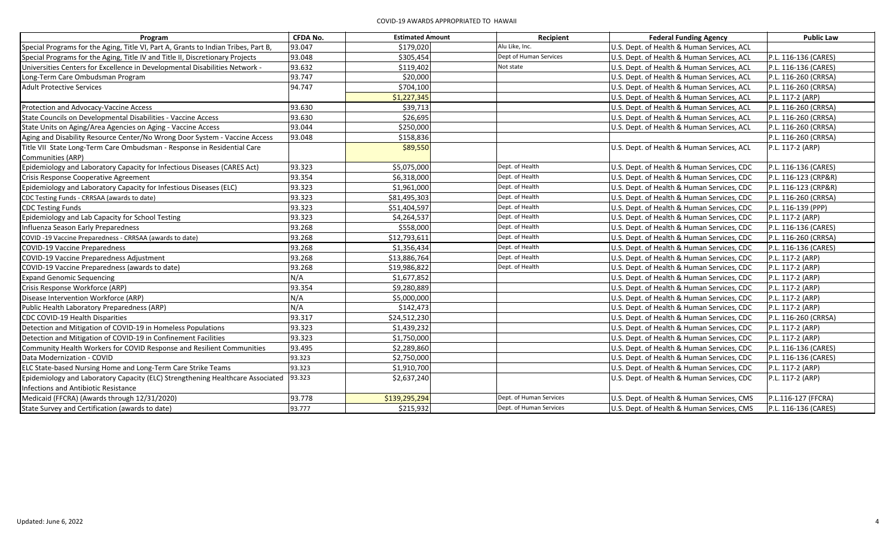| Program                                                                            | <b>CFDA No.</b> | <b>Estimated Amount</b> | Recipient               | <b>Federal Funding Agency</b>              | <b>Public Law</b>    |
|------------------------------------------------------------------------------------|-----------------|-------------------------|-------------------------|--------------------------------------------|----------------------|
| Special Programs for the Aging, Title VI, Part A, Grants to Indian Tribes, Part B, | 93.047          | \$179,020               | Alu Like, Inc.          | U.S. Dept. of Health & Human Services, ACL |                      |
| Special Programs for the Aging, Title IV and Title II, Discretionary Projects      | 93.048          | \$305,454               | Dept of Human Services  | U.S. Dept. of Health & Human Services, ACL | P.L. 116-136 (CARES) |
| Universities Centers for Excellence in Developmental Disabilities Network -        | 93.632          | \$119,402               | Not state               | U.S. Dept. of Health & Human Services, ACL | P.L. 116-136 (CARES) |
| Long-Term Care Ombudsman Program                                                   | 93.747          | \$20,000                |                         | U.S. Dept. of Health & Human Services, ACL | P.L. 116-260 (CRRSA) |
| <b>Adult Protective Services</b>                                                   | 94.747          | \$704,100               |                         | U.S. Dept. of Health & Human Services, ACL | P.L. 116-260 (CRRSA) |
|                                                                                    |                 | \$1,227,345             |                         | U.S. Dept. of Health & Human Services, ACL | P.L. 117-2 (ARP)     |
| Protection and Advocacy-Vaccine Access                                             | 93.630          | \$39,713                |                         | U.S. Dept. of Health & Human Services, ACL | P.L. 116-260 (CRRSA) |
| State Councils on Developmental Disabilities - Vaccine Access                      | 93.630          | \$26,695                |                         | U.S. Dept. of Health & Human Services, ACL | P.L. 116-260 (CRRSA) |
| State Units on Aging/Area Agencies on Aging - Vaccine Access                       | 93.044          | \$250,000               |                         | U.S. Dept. of Health & Human Services, ACL | P.L. 116-260 (CRRSA) |
| Aging and Disability Resource Center/No Wrong Door System - Vaccine Access         | 93.048          | \$158,836               |                         |                                            | P.L. 116-260 (CRRSA) |
| Title VII State Long-Term Care Ombudsman - Response in Residential Care            |                 | \$89,550                |                         | U.S. Dept. of Health & Human Services, ACL | P.L. 117-2 (ARP)     |
| Communities (ARP)                                                                  |                 |                         |                         |                                            |                      |
| Epidemiology and Laboratory Capacity for Infectious Diseases (CARES Act)           | 93.323          | \$5,075,000             | Dept. of Health         | U.S. Dept. of Health & Human Services, CDC | P.L. 116-136 (CARES) |
| Crisis Response Cooperative Agreement                                              | 93.354          | \$6,318,000             | Dept. of Health         | U.S. Dept. of Health & Human Services, CDC | P.L. 116-123 (CRP&R) |
| Epidemiology and Laboratory Capacity for Infestious Diseases (ELC)                 | 93.323          | \$1,961,000             | Dept. of Health         | U.S. Dept. of Health & Human Services, CDC | P.L. 116-123 (CRP&R) |
| CDC Testing Funds - CRRSAA (awards to date)                                        | 93.323          | \$81,495,303            | Dept. of Health         | U.S. Dept. of Health & Human Services, CDC | P.L. 116-260 (CRRSA) |
| <b>CDC Testing Funds</b>                                                           | 93.323          | \$51,404,597            | Dept. of Health         | U.S. Dept. of Health & Human Services, CDC | P.L. 116-139 (PPP)   |
| Epidemiology and Lab Capacity for School Testing                                   | 93.323          | \$4,264,537             | Dept. of Health         | U.S. Dept. of Health & Human Services, CDC | P.L. 117-2 (ARP)     |
| Influenza Season Early Preparedness                                                | 93.268          | \$558,000               | Dept. of Health         | U.S. Dept. of Health & Human Services, CDC | P.L. 116-136 (CARES) |
| COVID-19 Vaccine Preparedness - CRRSAA (awards to date)                            | 93.268          | \$12,793,611            | Dept. of Health         | U.S. Dept. of Health & Human Services, CDC | P.L. 116-260 (CRRSA) |
| <b>COVID-19 Vaccine Preparedness</b>                                               | 93.268          | \$1,356,434             | Dept. of Health         | U.S. Dept. of Health & Human Services, CDC | P.L. 116-136 (CARES) |
| COVID-19 Vaccine Preparedness Adjustment                                           | 93.268          | \$13,886,764            | Dept. of Health         | U.S. Dept. of Health & Human Services, CDC | P.L. 117-2 (ARP)     |
| COVID-19 Vaccine Preparedness (awards to date)                                     | 93.268          | \$19,986,822            | Dept. of Health         | U.S. Dept. of Health & Human Services, CDC | P.L. 117-2 (ARP)     |
| <b>Expand Genomic Sequencing</b>                                                   | N/A             | \$1,677,852             |                         | U.S. Dept. of Health & Human Services, CDC | P.L. 117-2 (ARP)     |
| Crisis Response Workforce (ARP)                                                    | 93.354          | \$9,280,889             |                         | U.S. Dept. of Health & Human Services, CDC | P.L. 117-2 (ARP)     |
| Disease Intervention Workforce (ARP)                                               | N/A             | \$5,000,000             |                         | U.S. Dept. of Health & Human Services, CDC | P.L. 117-2 (ARP)     |
| Public Health Laboratory Preparedness (ARP)                                        | N/A             | \$142,473               |                         | U.S. Dept. of Health & Human Services, CDC | P.L. 117-2 (ARP)     |
| CDC COVID-19 Health Disparities                                                    | 93.317          | \$24,512,230            |                         | U.S. Dept. of Health & Human Services, CDC | P.L. 116-260 (CRRSA) |
| Detection and Mitigation of COVID-19 in Homeless Populations                       | 93.323          | \$1,439,232             |                         | U.S. Dept. of Health & Human Services, CDC | P.L. 117-2 (ARP)     |
| Detection and Mitigation of COVID-19 in Confinement Facilities                     | 93.323          | \$1,750,000             |                         | U.S. Dept. of Health & Human Services, CDC | P.L. 117-2 (ARP)     |
| Community Health Workers for COVID Response and Resilient Communities              | 93.495          | \$2,289,860             |                         | U.S. Dept. of Health & Human Services, CDC | P.L. 116-136 (CARES) |
| Data Modernization - COVID                                                         | 93.323          | \$2,750,000             |                         | U.S. Dept. of Health & Human Services, CDC | P.L. 116-136 (CARES) |
| ELC State-based Nursing Home and Long-Term Care Strike Teams                       | 93.323          | \$1,910,700             |                         | U.S. Dept. of Health & Human Services, CDC | P.L. 117-2 (ARP)     |
| Epidemiology and Laboratory Capacity (ELC) Strengthening Healthcare Associated     | 93.323          | \$2,637,240             |                         | U.S. Dept. of Health & Human Services, CDC | P.L. 117-2 (ARP)     |
| Infections and Antibiotic Resistance                                               |                 |                         |                         |                                            |                      |
| Medicaid (FFCRA) (Awards through 12/31/2020)                                       | 93.778          | \$139,295,294           | Dept. of Human Services | U.S. Dept. of Health & Human Services, CMS | P.L.116-127 (FFCRA)  |
| State Survey and Certification (awards to date)                                    | 93.777          | \$215,932               | Dept. of Human Services | U.S. Dept. of Health & Human Services, CMS | P.L. 116-136 (CARES) |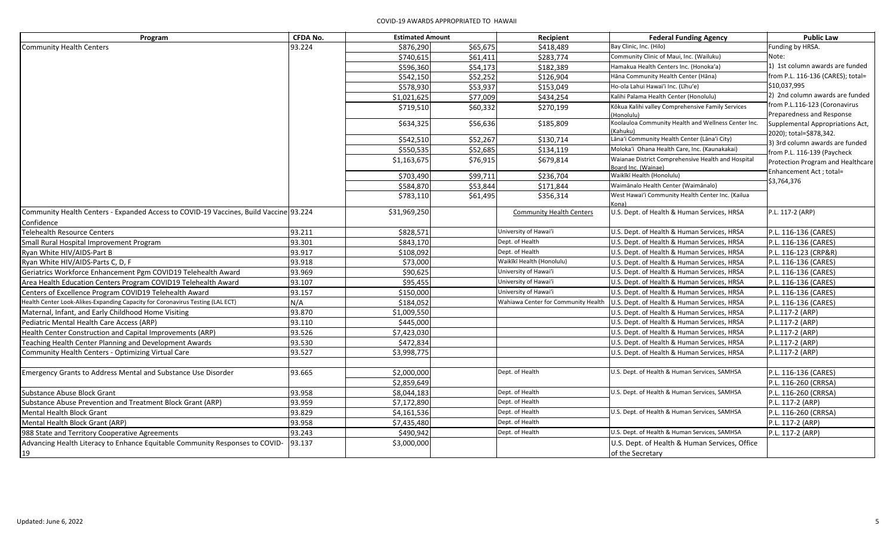| Program                                                                               | <b>CFDA No.</b> | <b>Estimated Amount</b> |          | Recipient                           | <b>Federal Funding Agency</b>                                             | <b>Public Law</b>                                          |
|---------------------------------------------------------------------------------------|-----------------|-------------------------|----------|-------------------------------------|---------------------------------------------------------------------------|------------------------------------------------------------|
| <b>Community Health Centers</b>                                                       | 93.224          | \$876,290               | \$65,675 | \$418,489                           | Bay Clinic, Inc. (Hilo)                                                   | Funding by HRSA.                                           |
|                                                                                       |                 | \$740,615               | \$61,411 | \$283,774                           | Community Clinic of Maui, Inc. (Wailuku)                                  | Note:                                                      |
|                                                                                       |                 | \$596,360               | \$54,173 | \$182,389                           | Hamakua Health Centers Inc. (Honoka'a)                                    | 1) 1st column awards are funded                            |
|                                                                                       |                 | \$542,150               | \$52,252 | \$126,904                           | Hāna Community Health Center (Hāna)                                       | from P.L. 116-136 (CARES); total=                          |
|                                                                                       |                 | \$578,930               | \$53,937 | \$153,049                           | Ho-ola Lahui Hawai'i Inc. (Līhu'e)                                        | \$10,037,995                                               |
|                                                                                       |                 | \$1,021,625             | \$77,009 | \$434,254                           | Kalihi Palama Health Center (Honolulu)                                    | 2) 2nd column awards are funded                            |
|                                                                                       |                 | \$719,510               | \$60,332 | \$270,199                           | Kōkua Kalihi valley Comprehensive Family Services<br>Honolulu)            | from P.L.116-123 (Coronavirus<br>Preparedness and Response |
|                                                                                       |                 | \$634,325               | \$56,636 | \$185,809                           | Koolauloa Community Health and Wellness Center Inc.<br>(Kahuku)           | Supplemental Appropriations Act,                           |
|                                                                                       |                 | \$542,510               | \$52,267 | \$130,714                           | Lāna'i Community Health Center (Lāna'i City)                              | 2020); total=\$878,342.<br>3) 3rd column awards are funded |
|                                                                                       |                 | \$550,535               | \$52,685 | \$134,119                           | Moloka'i Ohana Health Care, Inc. (Kaunakakai)                             | from P.L. 116-139 (Paycheck                                |
|                                                                                       |                 | \$1,163,675             | \$76,915 | \$679,814                           | Waianae District Comprehensive Health and Hospital<br>Board Inc. (Wainae) | Protection Program and Healthcare                          |
|                                                                                       |                 | \$703,490               | \$99,711 | \$236,704                           | Waikīkī Health (Honolulu)                                                 | Enhancement Act ; total=                                   |
|                                                                                       |                 | \$584,870               | \$53,844 | \$171,844                           | Waimānalo Health Center (Waimānalo)                                       | \$3,764,376                                                |
|                                                                                       |                 | \$783,110               | \$61,495 | \$356,314                           | West Hawai'i Community Health Center Inc. (Kailua<br>Kona)                |                                                            |
| Community Health Centers - Expanded Access to COVID-19 Vaccines, Build Vaccine 93.224 |                 | \$31,969,250            |          | <b>Community Health Centers</b>     | U.S. Dept. of Health & Human Services, HRSA                               | P.L. 117-2 (ARP)                                           |
| Confidence<br><b>Telehealth Resource Centers</b>                                      | 93.211          | \$828,571               |          | University of Hawai'i               | U.S. Dept. of Health & Human Services, HRSA                               | P.L. 116-136 (CARES)                                       |
| Small Rural Hospital Improvement Program                                              | 93.301          | \$843,170               |          | Dept. of Health                     | U.S. Dept. of Health & Human Services, HRSA                               | P.L. 116-136 (CARES)                                       |
| Ryan White HIV/AIDS-Part B                                                            | 93.917          | \$108,092               |          | Dept. of Health                     | U.S. Dept. of Health & Human Services, HRSA                               | P.L. 116-123 (CRP&R)                                       |
| Ryan White HIV/AIDS-Parts C, D, F                                                     | 93.918          | \$73,000                |          | Waikīkī Health (Honolulu)           | U.S. Dept. of Health & Human Services, HRSA                               | P.L. 116-136 (CARES)                                       |
| Geriatrics Workforce Enhancement Pgm COVID19 Telehealth Award                         | 93.969          | \$90,625                |          | University of Hawai'i               | U.S. Dept. of Health & Human Services, HRSA                               | P.L. 116-136 (CARES)                                       |
| Area Health Education Centers Program COVID19 Telehealth Award                        | 93.107          | \$95,455                |          | University of Hawai'i               | U.S. Dept. of Health & Human Services, HRSA                               | P.L. 116-136 (CARES)                                       |
| Centers of Excellence Program COVID19 Telehealth Award                                | 93.157          | \$150,000               |          | University of Hawai'i               | U.S. Dept. of Health & Human Services, HRSA                               | P.L. 116-136 (CARES)                                       |
| Health Center Look-Alikes-Expanding Capacity for Coronavirus Testing (LAL ECT)        | N/A             | \$184,052               |          | Wahiawa Center for Community Health | U.S. Dept. of Health & Human Services, HRSA                               | P.L. 116-136 (CARES)                                       |
| Maternal, Infant, and Early Childhood Home Visiting                                   | 93.870          | \$1,009,550             |          |                                     | U.S. Dept. of Health & Human Services, HRSA                               | P.L.117-2 (ARP)                                            |
| Pediatric Mental Health Care Access (ARP)                                             | 93.110          | \$445,000               |          |                                     | U.S. Dept. of Health & Human Services, HRSA                               | P.L.117-2 (ARP)                                            |
| Health Center Construction and Capital Improvements (ARP)                             | 93.526          | \$7,423,030             |          |                                     | U.S. Dept. of Health & Human Services, HRSA                               | P.L.117-2 (ARP)                                            |
| Teaching Health Center Planning and Development Awards                                | 93.530          | \$472,834               |          |                                     | U.S. Dept. of Health & Human Services, HRSA                               | P.L.117-2 (ARP)                                            |
| Community Health Centers - Optimizing Virtual Care                                    | 93.527          | \$3,998,775             |          |                                     | U.S. Dept. of Health & Human Services, HRSA                               | P.L.117-2 (ARP)                                            |
|                                                                                       |                 |                         |          |                                     |                                                                           |                                                            |
| Emergency Grants to Address Mental and Substance Use Disorder                         | 93.665          | \$2,000,000             |          | Dept. of Health                     | U.S. Dept. of Health & Human Services, SAMHSA                             | P.L. 116-136 (CARES)                                       |
|                                                                                       |                 | \$2,859,649             |          |                                     |                                                                           | P.L. 116-260 (CRRSA)                                       |
| Substance Abuse Block Grant                                                           | 93.958          | \$8,044,183             |          | Dept. of Health                     | U.S. Dept. of Health & Human Services, SAMHSA                             | P.L. 116-260 (CRRSA)                                       |
| Substance Abuse Prevention and Treatment Block Grant (ARP)                            | 93.959          | \$7,172,890             |          | Dept. of Health                     |                                                                           | P.L. 117-2 (ARP)                                           |
| Mental Health Block Grant                                                             | 93.829          | \$4,161,536             |          | Dept. of Health                     | U.S. Dept. of Health & Human Services, SAMHSA                             | P.L. 116-260 (CRRSA)                                       |
| Mental Health Block Grant (ARP)                                                       | 93.958          | \$7,435,480             |          | Dept. of Health                     |                                                                           | P.L. 117-2 (ARP)                                           |
| 988 State and Territory Cooperative Agreements                                        | 93.243          | \$490,942               |          | Dept. of Health                     | U.S. Dept. of Health & Human Services, SAMHSA                             | P.L. 117-2 (ARP)                                           |
| Advancing Health Literacy to Enhance Equitable Community Responses to COVID-          | 93.137          | \$3,000,000             |          |                                     | U.S. Dept. of Health & Human Services, Office                             |                                                            |
| 19                                                                                    |                 |                         |          |                                     | of the Secretary                                                          |                                                            |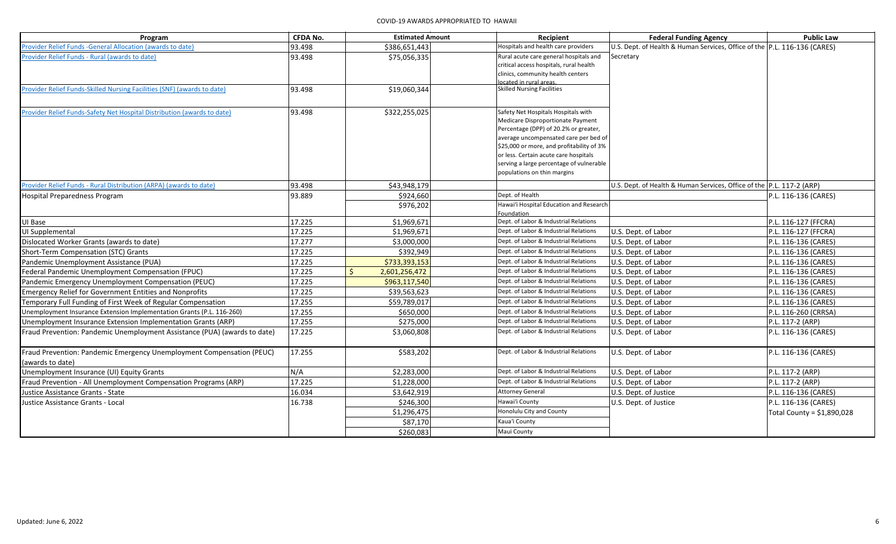| Program                                                                   | <b>CFDA No.</b> | <b>Estimated Amount</b> | Recipient                                                                      | <b>Federal Funding Agency</b>                                             | <b>Public Law</b>          |
|---------------------------------------------------------------------------|-----------------|-------------------------|--------------------------------------------------------------------------------|---------------------------------------------------------------------------|----------------------------|
| Provider Relief Funds - General Allocation (awards to date)               | 93.498          | \$386,651,443           | Hospitals and health care providers                                            | U.S. Dept. of Health & Human Services, Office of the P.L. 116-136 (CARES) |                            |
| Provider Relief Funds - Rural (awards to date)                            | 93.498          | \$75,056,335            | Rural acute care general hospitals and                                         | Secretary                                                                 |                            |
|                                                                           |                 |                         | critical access hospitals, rural health<br>clinics, community health centers   |                                                                           |                            |
|                                                                           |                 |                         | ocated in rural areas.                                                         |                                                                           |                            |
| Provider Relief Funds-Skilled Nursing Facilities (SNF) (awards to date)   | 93.498          | \$19,060,344            | <b>Skilled Nursing Facilities</b>                                              |                                                                           |                            |
|                                                                           |                 |                         |                                                                                |                                                                           |                            |
| Provider Relief Funds-Safety Net Hospital Distribution (awards to date)   | 93.498          | \$322,255,025           | Safety Net Hospitals Hospitals with                                            |                                                                           |                            |
|                                                                           |                 |                         | Medicare Disproportionate Payment                                              |                                                                           |                            |
|                                                                           |                 |                         | Percentage (DPP) of 20.2% or greater,<br>average uncompensated care per bed of |                                                                           |                            |
|                                                                           |                 |                         | \$25,000 or more, and profitability of 3%                                      |                                                                           |                            |
|                                                                           |                 |                         | or less. Certain acute care hospitals                                          |                                                                           |                            |
|                                                                           |                 |                         | serving a large percentage of vulnerable                                       |                                                                           |                            |
|                                                                           |                 |                         | populations on thin margins                                                    |                                                                           |                            |
| Provider Relief Funds - Rural Distribution (ARPA) (awards to date)        | 93.498          | \$43,948,179            |                                                                                | U.S. Dept. of Health & Human Services, Office of the P.L. 117-2 (ARP)     |                            |
| Hospital Preparedness Program                                             | 93.889          | \$924,660               | Dept. of Health                                                                |                                                                           | P.L. 116-136 (CARES)       |
|                                                                           |                 | \$976,202               | Hawai'i Hospital Education and Research                                        |                                                                           |                            |
|                                                                           |                 |                         | Foundation                                                                     |                                                                           |                            |
| UI Base                                                                   | 17.225          | \$1,969,671             | Dept. of Labor & Industrial Relations                                          |                                                                           | P.L. 116-127 (FFCRA)       |
| UI Supplemental                                                           | 17.225          | \$1,969,671             | Dept. of Labor & Industrial Relations                                          | U.S. Dept. of Labor                                                       | P.L. 116-127 (FFCRA)       |
| Dislocated Worker Grants (awards to date)                                 | 17.277          | \$3,000,000             | Dept. of Labor & Industrial Relations                                          | U.S. Dept. of Labor                                                       | P.L. 116-136 (CARES)       |
| Short-Term Compensation (STC) Grants                                      | 17.225          | \$392,949               | Dept. of Labor & Industrial Relations                                          | U.S. Dept. of Labor                                                       | P.L. 116-136 (CARES)       |
| Pandemic Unemployment Assistance (PUA)                                    | 17.225          | \$733,393,153           | Dept. of Labor & Industrial Relations                                          | U.S. Dept. of Labor                                                       | P.L. 116-136 (CARES)       |
| Federal Pandemic Unemployment Compensation (FPUC)                         | 17.225          | 2,601,256,472           | Dept. of Labor & Industrial Relations                                          | U.S. Dept. of Labor                                                       | P.L. 116-136 (CARES)       |
| Pandemic Emergency Unemployment Compensation (PEUC)                       | 17.225          | \$963,117,540           | Dept. of Labor & Industrial Relations                                          | U.S. Dept. of Labor                                                       | P.L. 116-136 (CARES)       |
| <b>Emergency Relief for Government Entities and Nonprofits</b>            | 17.225          | \$39,563,623            | Dept. of Labor & Industrial Relations                                          | U.S. Dept. of Labor                                                       | P.L. 116-136 (CARES)       |
| Temporary Full Funding of First Week of Regular Compensation              | 17.255          | \$59,789,017            | Dept. of Labor & Industrial Relations                                          | U.S. Dept. of Labor                                                       | P.L. 116-136 (CARES)       |
| Unemployment Insurance Extension Implementation Grants (P.L. 116-260)     | 17.255          | \$650,000               | Dept. of Labor & Industrial Relations                                          | U.S. Dept. of Labor                                                       | P.L. 116-260 (CRRSA)       |
| Unemployment Insurance Extension Implementation Grants (ARP)              | 17.255          | \$275,000               | Dept. of Labor & Industrial Relations                                          | U.S. Dept. of Labor                                                       | P.L. 117-2 (ARP)           |
| Fraud Prevention: Pandemic Unemployment Assistance (PUA) (awards to date) | 17.225          | \$3,060,808             | Dept. of Labor & Industrial Relations                                          | U.S. Dept. of Labor                                                       | P.L. 116-136 (CARES)       |
| Fraud Prevention: Pandemic Emergency Unemployment Compensation (PEUC)     | 17.255          | \$583,202               | Dept. of Labor & Industrial Relations                                          | U.S. Dept. of Labor                                                       | P.L. 116-136 (CARES)       |
| (awards to date)                                                          |                 |                         |                                                                                |                                                                           |                            |
| Unemployment Insurance (UI) Equity Grants                                 | N/A             | \$2,283,000             | Dept. of Labor & Industrial Relations                                          | U.S. Dept. of Labor                                                       | P.L. 117-2 (ARP)           |
| Fraud Prevention - All Unemployment Compensation Programs (ARP)           | 17.225          | \$1,228,000             | Dept. of Labor & Industrial Relations                                          | U.S. Dept. of Labor                                                       | P.L. 117-2 (ARP)           |
| Justice Assistance Grants - State                                         | 16.034          | \$3,642,919             | <b>Attorney General</b>                                                        | U.S. Dept. of Justice                                                     | P.L. 116-136 (CARES)       |
| Justice Assistance Grants - Local                                         | 16.738          | \$246,300               | Hawai'i County                                                                 | U.S. Dept. of Justice                                                     | P.L. 116-136 (CARES)       |
|                                                                           |                 | \$1,296,475             | Honolulu City and County                                                       |                                                                           | Total County = \$1,890,028 |
|                                                                           |                 | \$87,170                | Kaua'i County                                                                  |                                                                           |                            |
|                                                                           |                 | \$260,083               | Maui County                                                                    |                                                                           |                            |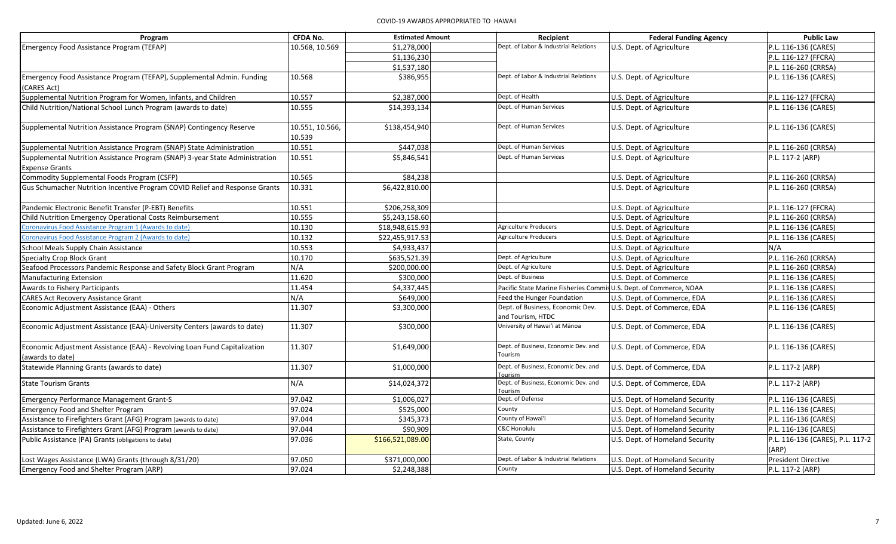| Program                                                                                               | <b>CFDA No.</b>           | <b>Estimated Amount</b> | Recipient                                                          | <b>Federal Funding Agency</b>   | <b>Public Law</b>                         |
|-------------------------------------------------------------------------------------------------------|---------------------------|-------------------------|--------------------------------------------------------------------|---------------------------------|-------------------------------------------|
| Emergency Food Assistance Program (TEFAP)                                                             | 10.568, 10.569            | \$1,278,000             | Dept. of Labor & Industrial Relations                              | U.S. Dept. of Agriculture       | P.L. 116-136 (CARES)                      |
|                                                                                                       |                           | \$1,136,230             |                                                                    |                                 | P.L. 116-127 (FFCRA)                      |
|                                                                                                       |                           | \$1,537,180             |                                                                    |                                 | P.L. 116-260 (CRRSA)                      |
| Emergency Food Assistance Program (TEFAP), Supplemental Admin. Funding<br>(CARES Act)                 | 10.568                    | \$386,955               | Dept. of Labor & Industrial Relations                              | U.S. Dept. of Agriculture       | P.L. 116-136 (CARES)                      |
| Supplemental Nutrition Program for Women, Infants, and Children                                       | 10.557                    | \$2,387,000             | Dept. of Health                                                    | U.S. Dept. of Agriculture       | P.L. 116-127 (FFCRA)                      |
| Child Nutrition/National School Lunch Program (awards to date)                                        | 10.555                    | \$14,393,134            | Dept. of Human Services                                            | U.S. Dept. of Agriculture       | P.L. 116-136 (CARES)                      |
| Supplemental Nutrition Assistance Program (SNAP) Contingency Reserve                                  | 10.551, 10.566,<br>10.539 | \$138,454,940           | Dept. of Human Services                                            | U.S. Dept. of Agriculture       | P.L. 116-136 (CARES)                      |
| Supplemental Nutrition Assistance Program (SNAP) State Administration                                 | 10.551                    | \$447,038               | Dept. of Human Services                                            | U.S. Dept. of Agriculture       | P.L. 116-260 (CRRSA)                      |
| Supplemental Nutrition Assistance Program (SNAP) 3-year State Administration<br><b>Expense Grants</b> | 10.551                    | \$5,846,541             | Dept. of Human Services                                            | U.S. Dept. of Agriculture       | P.L. 117-2 (ARP)                          |
| Commodity Supplemental Foods Program (CSFP)                                                           | 10.565                    | \$84,238                |                                                                    | U.S. Dept. of Agriculture       | P.L. 116-260 (CRRSA)                      |
| Gus Schumacher Nutrition Incentive Program COVID Relief and Response Grants                           | 10.331                    | \$6,422,810.00          |                                                                    | U.S. Dept. of Agriculture       | P.L. 116-260 (CRRSA)                      |
| Pandemic Electronic Benefit Transfer (P-EBT) Benefits                                                 | 10.551                    | \$206,258,309           |                                                                    | U.S. Dept. of Agriculture       | P.L. 116-127 (FFCRA)                      |
| Child Nutrition Emergency Operational Costs Reimbursement                                             | 10.555                    | \$5,243,158.60          |                                                                    | U.S. Dept. of Agriculture       | P.L. 116-260 (CRRSA)                      |
| Coronavirus Food Assistance Program 1 (Awards to date)                                                | 10.130                    | \$18,948,615.93         | <b>Agriculture Producers</b>                                       | U.S. Dept. of Agriculture       | P.L. 116-136 (CARES)                      |
| Coronavirus Food Assistance Program 2 (Awards to date)                                                | 10.132                    | \$22,455,917.53         | <b>Agriculture Producers</b>                                       | U.S. Dept. of Agriculture       | P.L. 116-136 (CARES)                      |
| School Meals Supply Chain Assistance                                                                  | 10.553                    | \$4,933,437             |                                                                    | U.S. Dept. of Agriculture       | N/A                                       |
| <b>Specialty Crop Block Grant</b>                                                                     | 10.170                    | \$635,521.39            | Dept. of Agriculture                                               | U.S. Dept. of Agriculture       | P.L. 116-260 (CRRSA)                      |
| Seafood Processors Pandemic Response and Safety Block Grant Program                                   | N/A                       | \$200,000.00            | Dept. of Agriculture                                               | U.S. Dept. of Agriculture       | P.L. 116-260 (CRRSA)                      |
| Manufacturing Extension                                                                               | 11.620                    | \$300,000               | Dept. of Business                                                  | U.S. Dept. of Commerce          | P.L. 116-136 (CARES)                      |
| Awards to Fishery Participants                                                                        | 11.454                    | \$4,337,445             | Pacific State Marine Fisheries Commis U.S. Dept. of Commerce, NOAA |                                 | P.L. 116-136 (CARES)                      |
| <b>CARES Act Recovery Assistance Grant</b>                                                            | N/A                       | \$649,000               | Feed the Hunger Foundation                                         | U.S. Dept. of Commerce, EDA     | P.L. 116-136 (CARES)                      |
| Economic Adjustment Assistance (EAA) - Others                                                         | 11.307                    | \$3,300,000             | Dept. of Business, Economic Dev.<br>and Tourism, HTDC              | U.S. Dept. of Commerce, EDA     | P.L. 116-136 (CARES)                      |
| Economic Adjustment Assistance (EAA)-University Centers (awards to date)                              | 11.307                    | \$300,000               | University of Hawai'i at Mānoa                                     | U.S. Dept. of Commerce, EDA     | P.L. 116-136 (CARES)                      |
| Economic Adjustment Assistance (EAA) - Revolving Loan Fund Capitalization<br>(awards to date)         | 11.307                    | \$1,649,000             | Dept. of Business, Economic Dev. and<br>Tourism                    | U.S. Dept. of Commerce, EDA     | P.L. 116-136 (CARES)                      |
| Statewide Planning Grants (awards to date)                                                            | 11.307                    | \$1,000,000             | Dept. of Business, Economic Dev. and<br>Tourism                    | U.S. Dept. of Commerce, EDA     | P.L. 117-2 (ARP)                          |
| <b>State Tourism Grants</b>                                                                           | N/A                       | \$14,024,372            | Dept. of Business, Economic Dev. and<br>Tourism                    | U.S. Dept. of Commerce, EDA     | P.L. 117-2 (ARP)                          |
| <b>Emergency Performance Management Grant-S</b>                                                       | 97.042                    | \$1,006,027             | Dept. of Defense                                                   | U.S. Dept. of Homeland Security | P.L. 116-136 (CARES)                      |
| <b>Emergency Food and Shelter Program</b>                                                             | 97.024                    | \$525,000               | County                                                             | U.S. Dept. of Homeland Security | P.L. 116-136 (CARES)                      |
| Assistance to Firefighters Grant (AFG) Program (awards to date)                                       | 97.044                    | \$345,373               | County of Hawai'i                                                  | U.S. Dept. of Homeland Security | P.L. 116-136 (CARES)                      |
| Assistance to Firefighters Grant (AFG) Program (awards to date)                                       | 97.044                    | \$90,909                | C&C Honolulu                                                       | U.S. Dept. of Homeland Security | P.L. 116-136 (CARES)                      |
| Public Assistance (PA) Grants (obligations to date)                                                   | 97.036                    | \$166,521,089.00        | State, County                                                      | U.S. Dept. of Homeland Security | P.L. 116-136 (CARES), P.L. 117-2<br>(ARP) |
| Lost Wages Assistance (LWA) Grants (through 8/31/20)                                                  | 97.050                    | \$371,000,000           | Dept. of Labor & Industrial Relations                              | U.S. Dept. of Homeland Security | <b>President Directive</b>                |
| Emergency Food and Shelter Program (ARP)                                                              | 97.024                    | \$2,248,388             | County                                                             | U.S. Dept. of Homeland Security | P.L. 117-2 (ARP)                          |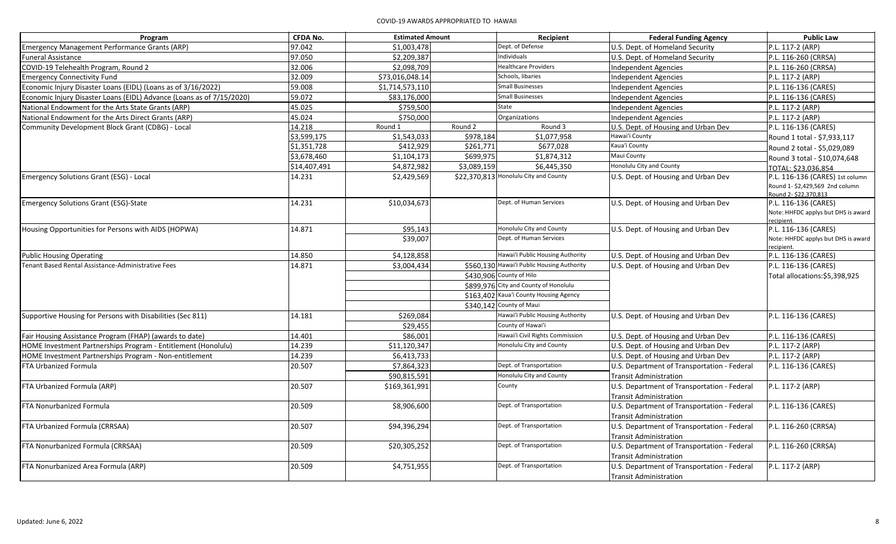| Program                                                               | <b>CFDA No.</b> | <b>Estimated Amount</b> |             | Recipient                                  | <b>Federal Funding Agency</b>               | <b>Public Law</b>                   |
|-----------------------------------------------------------------------|-----------------|-------------------------|-------------|--------------------------------------------|---------------------------------------------|-------------------------------------|
| Emergency Management Performance Grants (ARP)                         | 97.042          | \$1,003,478             |             | Dept. of Defense                           | U.S. Dept. of Homeland Security             | P.L. 117-2 (ARP)                    |
| <b>Funeral Assistance</b>                                             | 97.050          | \$2,209,387             |             | Individuals                                | U.S. Dept. of Homeland Security             | P.L. 116-260 (CRRSA)                |
| COVID-19 Telehealth Program, Round 2                                  | 32.006          | \$2,098,709             |             | <b>Healthcare Providers</b>                | <b>Independent Agencies</b>                 | P.L. 116-260 (CRRSA)                |
| <b>Emergency Connectivity Fund</b>                                    | 32.009          | \$73,016,048.14         |             | Schools, libaries                          | <b>Independent Agencies</b>                 | P.L. 117-2 (ARP)                    |
| Economic Injury Disaster Loans (EIDL) (Loans as of 3/16/2022)         | 59.008          | \$1,714,573,110         |             | <b>Small Businesses</b>                    | <b>Independent Agencies</b>                 | P.L. 116-136 (CARES)                |
| Economic Injury Disaster Loans (EIDL) Advance (Loans as of 7/15/2020) | 59.072          | \$83,176,000            |             | <b>Small Businesses</b>                    | <b>Independent Agencies</b>                 | P.L. 116-136 (CARES)                |
| National Endowment for the Arts State Grants (ARP)                    | 45.025          | \$759,500               |             | State                                      | <b>Independent Agencies</b>                 | P.L. 117-2 (ARP)                    |
| National Endowment for the Arts Direct Grants (ARP)                   | 45.024          | \$750,000               |             | Organizations                              | <b>Independent Agencies</b>                 | P.L. 117-2 (ARP)                    |
| Community Development Block Grant (CDBG) - Local                      | 14.218          | Round 1                 | Round 2     | Round 3                                    | U.S. Dept. of Housing and Urban Dev         | P.L. 116-136 (CARES)                |
|                                                                       | \$3,599,175     | \$1,543,033             | \$978,184   | \$1,077,958                                | Hawai'i County                              | Round 1 total - \$7,933,117         |
|                                                                       | \$1,351,728     | \$412,929               | \$261,771   | \$677,028                                  | Kaua'i County                               | Round 2 total - \$5,029,089         |
|                                                                       | \$3,678,460     | \$1,104,173             | \$699,975   | \$1,874,312                                | Maui County                                 | Round 3 total - \$10,074,648        |
|                                                                       | \$14,407,491    | \$4,872,982             | \$3,089,159 | \$6,445,350                                | <b>Honolulu City and County</b>             | TOTAL: \$23.036.854                 |
| <b>Emergency Solutions Grant (ESG) - Local</b>                        | 14.231          | \$2,429,569             |             | \$22,370,813 Honolulu City and County      | U.S. Dept. of Housing and Urban Dev         | P.L. 116-136 (CARES) 1st column     |
|                                                                       |                 |                         |             |                                            |                                             | Round 1- \$2.429.569 2nd column     |
|                                                                       |                 |                         |             |                                            |                                             | Round 2- \$22.370.813               |
| Emergency Solutions Grant (ESG)-State                                 | 14.231          | \$10,034,673            |             | Dept. of Human Services                    | U.S. Dept. of Housing and Urban Dev         | P.L. 116-136 (CARES)                |
|                                                                       |                 |                         |             |                                            |                                             | Note: HHFDC applys but DHS is award |
| Housing Opportunities for Persons with AIDS (HOPWA)                   | 14.871          | \$95,143                |             | Honolulu City and County                   | U.S. Dept. of Housing and Urban Dev         | recipient.<br>P.L. 116-136 (CARES)  |
|                                                                       |                 | \$39,007                |             | Dept. of Human Services                    |                                             | Note: HHFDC applys but DHS is award |
|                                                                       |                 |                         |             |                                            |                                             | recipient.                          |
| <b>Public Housing Operating</b>                                       | 14.850          | \$4,128,858             |             | Hawai'i Public Housing Authority           | U.S. Dept. of Housing and Urban Dev         | P.L. 116-136 (CARES)                |
| Tenant Based Rental Assistance-Administrative Fees                    | 14.871          | \$3,004,434             |             | \$560,130 Hawai'i Public Housing Authority | U.S. Dept. of Housing and Urban Dev         | P.L. 116-136 (CARES)                |
|                                                                       |                 |                         |             | \$430,906 County of Hilo                   |                                             | Total allocations: \$5,398,925      |
|                                                                       |                 |                         |             | \$899,976 City and County of Honolulu      |                                             |                                     |
|                                                                       |                 |                         |             | \$163,402 Kaua'i County Housing Agency     |                                             |                                     |
|                                                                       |                 |                         |             | \$340,142 County of Maui                   |                                             |                                     |
| Supportive Housing for Persons with Disabilities (Sec 811)            | 14.181          | \$269,084               |             | Hawai'i Public Housing Authority           | U.S. Dept. of Housing and Urban Dev         | P.L. 116-136 (CARES)                |
|                                                                       |                 | \$29,455                |             | County of Hawai'i                          |                                             |                                     |
| Fair Housing Assistance Program (FHAP) (awards to date)               | 14.401          | \$86,001                |             | Hawai'i Civil Rights Commission            | U.S. Dept. of Housing and Urban Dev         | P.L. 116-136 (CARES)                |
| HOME Investment Partnerships Program - Entitlement (Honolulu)         | 14.239          | \$11,120,347            |             | Honolulu City and County                   | U.S. Dept. of Housing and Urban Dev         | P.L. 117-2 (ARP)                    |
| HOME Investment Partnerships Program - Non-entitlement                | 14.239          | \$6,413,733             |             |                                            | U.S. Dept. of Housing and Urban Dev         | P.L. 117-2 (ARP)                    |
| FTA Urbanized Formula                                                 | 20.507          | \$7,864,323             |             | Dept. of Transportation                    | U.S. Department of Transportation - Federal | P.L. 116-136 (CARES)                |
|                                                                       |                 | \$90,815,591            |             | Honolulu City and County                   | <b>Transit Administration</b>               |                                     |
| FTA Urbanized Formula (ARP)                                           | 20.507          | \$169,361,991           |             | County                                     | U.S. Department of Transportation - Federal | P.L. 117-2 (ARP)                    |
|                                                                       |                 |                         |             |                                            | Transit Administration                      |                                     |
| FTA Nonurbanized Formula                                              | 20.509          | \$8,906,600             |             | Dept. of Transportation                    | U.S. Department of Transportation - Federal | P.L. 116-136 (CARES)                |
|                                                                       |                 |                         |             |                                            | <b>Transit Administration</b>               |                                     |
| FTA Urbanized Formula (CRRSAA)                                        | 20.507          | \$94,396,294            |             | Dept. of Transportation                    | U.S. Department of Transportation - Federal | P.L. 116-260 (CRRSA)                |
|                                                                       |                 |                         |             |                                            | <b>Transit Administration</b>               |                                     |
| FTA Nonurbanized Formula (CRRSAA)                                     | 20.509          | \$20,305,252            |             | Dept. of Transportation                    | U.S. Department of Transportation - Federal | P.L. 116-260 (CRRSA)                |
|                                                                       |                 |                         |             |                                            | Transit Administration                      |                                     |
| FTA Nonurbanized Area Formula (ARP)                                   | 20.509          | \$4,751,955             |             | Dept. of Transportation                    | U.S. Department of Transportation - Federal | P.L. 117-2 (ARP)                    |
|                                                                       |                 |                         |             |                                            | <b>Transit Administration</b>               |                                     |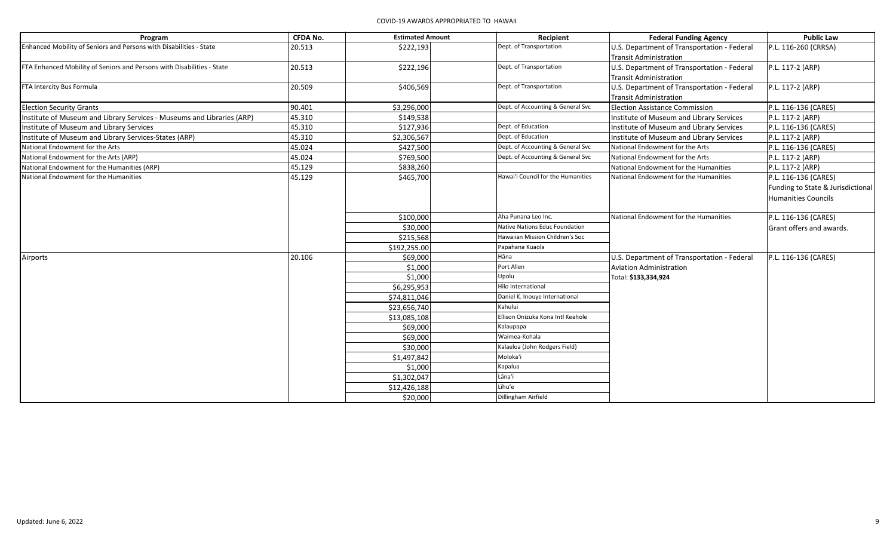| Program                                                                | <b>CFDA No.</b> | <b>Estimated Amount</b> | Recipient                          | <b>Federal Funding Agency</b>                                                | <b>Public Law</b>                                                                |
|------------------------------------------------------------------------|-----------------|-------------------------|------------------------------------|------------------------------------------------------------------------------|----------------------------------------------------------------------------------|
| Enhanced Mobility of Seniors and Persons with Disabilities - State     | 20.513          | \$222,193               | Dept. of Transportation            | U.S. Department of Transportation - Federal<br><b>Transit Administration</b> | P.L. 116-260 (CRRSA)                                                             |
| FTA Enhanced Mobility of Seniors and Persons with Disabilities - State | 20.513          | \$222,196               | Dept. of Transportation            | U.S. Department of Transportation - Federal<br>Transit Administration        | P.L. 117-2 (ARP)                                                                 |
| FTA Intercity Bus Formula                                              | 20.509          | \$406,569               | Dept. of Transportation            | U.S. Department of Transportation - Federal<br>Transit Administration        | P.L. 117-2 (ARP)                                                                 |
| <b>Election Security Grants</b>                                        | 90.401          | \$3,296,000             | Dept. of Accounting & General Svc  | <b>Election Assistance Commission</b>                                        | P.L. 116-136 (CARES)                                                             |
| Institute of Museum and Library Services - Museums and Libraries (ARP) | 45.310          | \$149,538               |                                    | Institute of Museum and Library Services                                     | P.L. 117-2 (ARP)                                                                 |
| Institute of Museum and Library Services                               | 45.310          | \$127,936               | Dept. of Education                 | Institute of Museum and Library Services                                     | P.L. 116-136 (CARES)                                                             |
| Institute of Museum and Library Services-States (ARP)                  | 45.310          | \$2,306,567             | Dept. of Education                 | Institute of Museum and Library Services                                     | P.L. 117-2 (ARP)                                                                 |
| National Endowment for the Arts                                        | 45.024          | \$427,500               | Dept. of Accounting & General Svc  | National Endowment for the Arts                                              | P.L. 116-136 (CARES)                                                             |
| National Endowment for the Arts (ARP)                                  | 45.024          | \$769,500               | Dept. of Accounting & General Svc  | National Endowment for the Arts                                              | P.L. 117-2 (ARP)                                                                 |
| National Endowment for the Humanities (ARP)                            | 45.129          | \$838,260               |                                    | National Endowment for the Humanities                                        | P.L. 117-2 (ARP)                                                                 |
| National Endowment for the Humanities                                  | 45.129          | \$465,700               | Hawai'i Council for the Humanities | National Endowment for the Humanities                                        | P.L. 116-136 (CARES)<br>Funding to State & Jurisdictional<br>Humanities Councils |
|                                                                        |                 | \$100,000               | Aha Punana Leo Inc.                | National Endowment for the Humanities                                        | P.L. 116-136 (CARES)                                                             |
|                                                                        |                 | \$30,000                | Native Nations Educ Foundation     |                                                                              | <b>Grant offers and awards.</b>                                                  |
|                                                                        |                 | \$215,568               | Hawaiian Mission Children's Soc    |                                                                              |                                                                                  |
|                                                                        |                 | \$192,255.00            | Papahana Kuaola                    |                                                                              |                                                                                  |
| Airports                                                               | 20.106          | \$69,000                | Hāna                               | U.S. Department of Transportation - Federal                                  | P.L. 116-136 (CARES)                                                             |
|                                                                        |                 | \$1,000                 | Port Allen                         | <b>Aviation Administration</b>                                               |                                                                                  |
|                                                                        |                 | \$1,000                 | Upolu                              | Total: \$133,334,924                                                         |                                                                                  |
|                                                                        |                 | \$6,295,953             | Hilo International                 |                                                                              |                                                                                  |
|                                                                        |                 | \$74,811,046            | Daniel K. Inouye International     |                                                                              |                                                                                  |
|                                                                        |                 | \$23,656,740            | Kahului                            |                                                                              |                                                                                  |
|                                                                        |                 | \$13,085,108            | Ellison Onizuka Kona Intl Keahole  |                                                                              |                                                                                  |
|                                                                        |                 | \$69,000                | Kalaupapa                          |                                                                              |                                                                                  |
|                                                                        |                 | \$69,000                | Waimea-Kohala                      |                                                                              |                                                                                  |
|                                                                        |                 | \$30,000                | Kalaeloa (John Rodgers Field)      |                                                                              |                                                                                  |
|                                                                        |                 | \$1,497,842             | Moloka'i                           |                                                                              |                                                                                  |
|                                                                        |                 | \$1,000                 | Kapalua                            |                                                                              |                                                                                  |
|                                                                        |                 | \$1,302,047             | Lāna'i                             |                                                                              |                                                                                  |
|                                                                        |                 | \$12,426,188            | Līhu'e                             |                                                                              |                                                                                  |
|                                                                        |                 | \$20,000                | Dillingham Airfield                |                                                                              |                                                                                  |